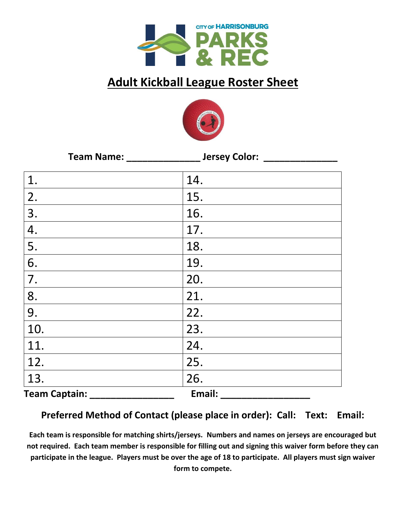

## **Adult Kickball League Roster Sheet**



| Team Name: __        |        |  |
|----------------------|--------|--|
| 1.                   | 14.    |  |
| 2.                   | 15.    |  |
| 3.                   | 16.    |  |
| 4.                   | 17.    |  |
| 5.                   | 18.    |  |
| 6.                   | 19.    |  |
| 7.                   | 20.    |  |
| 8.                   | 21.    |  |
| 9.                   | 22.    |  |
| 10.                  | 23.    |  |
| 11.                  | 24.    |  |
| 12.                  | 25.    |  |
| 13.                  | 26.    |  |
| <b>Team Captain:</b> | Email: |  |

## **Preferred Method of Contact (please place in order): Call: Text: Email:**

**Each team is responsible for matching shirts/jerseys. Numbers and names on jerseys are encouraged but not required. Each team member is responsible for filling out and signing this waiver form before they can participate in the league. Players must be over the age of 18 to participate. All players must sign waiver form to compete.**